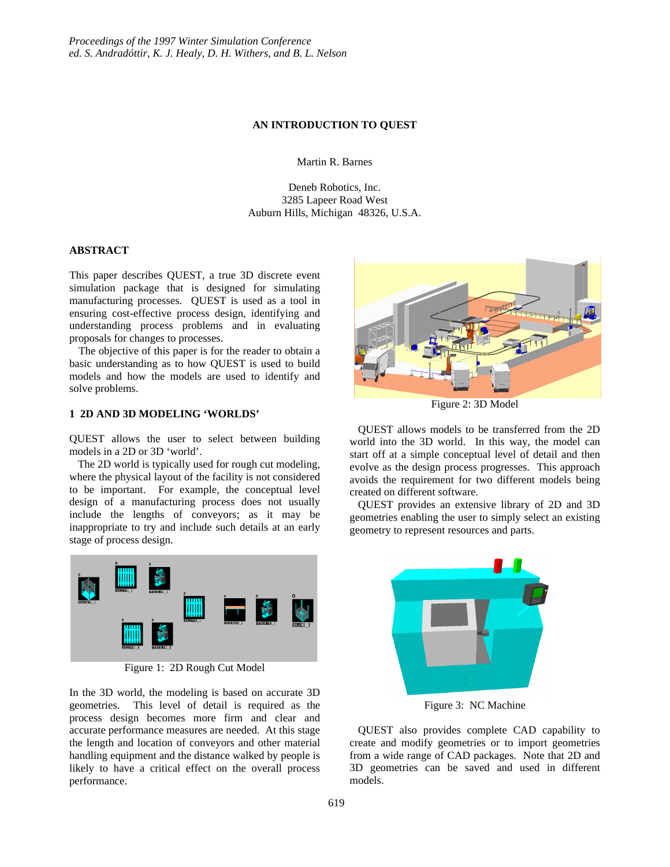### **AN INTRODUCTION TO QUEST**

Martin R. Barnes

Deneb Robotics, Inc. 3285 Lapeer Road West Auburn Hills, Michigan 48326, U.S.A.

### **ABSTRACT**

This paper describes QUEST, a true 3D discrete event simulation package that is designed for simulating manufacturing processes. QUEST is used as a tool in ensuring cost-effective process design, identifying and understanding process problems and in evaluating proposals for changes to processes.

 The objective of this paper is for the reader to obtain a basic understanding as to how QUEST is used to build models and how the models are used to identify and solve problems.

# **1 2D AND 3D MODELING 'WORLDS'**

QUEST allows the user to select between building models in a 2D or 3D 'world'.

 The 2D world is typically used for rough cut modeling, where the physical layout of the facility is not considered to be important. For example, the conceptual level design of a manufacturing process does not usually include the lengths of conveyors; as it may be inappropriate to try and include such details at an early stage of process design.



Figure 1: 2D Rough Cut Model

In the 3D world, the modeling is based on accurate 3D geometries. This level of detail is required as the process design becomes more firm and clear and accurate performance measures are needed. At this stage the length and location of conveyors and other material handling equipment and the distance walked by people is likely to have a critical effect on the overall process performance.



Figure 2: 3D Model

 QUEST allows models to be transferred from the 2D world into the 3D world. In this way, the model can start off at a simple conceptual level of detail and then evolve as the design process progresses. This approach avoids the requirement for two different models being created on different software.

 QUEST provides an extensive library of 2D and 3D geometries enabling the user to simply select an existing geometry to represent resources and parts.



Figure 3: NC Machine

 QUEST also provides complete CAD capability to create and modify geometries or to import geometries from a wide range of CAD packages. Note that 2D and 3D geometries can be saved and used in different models.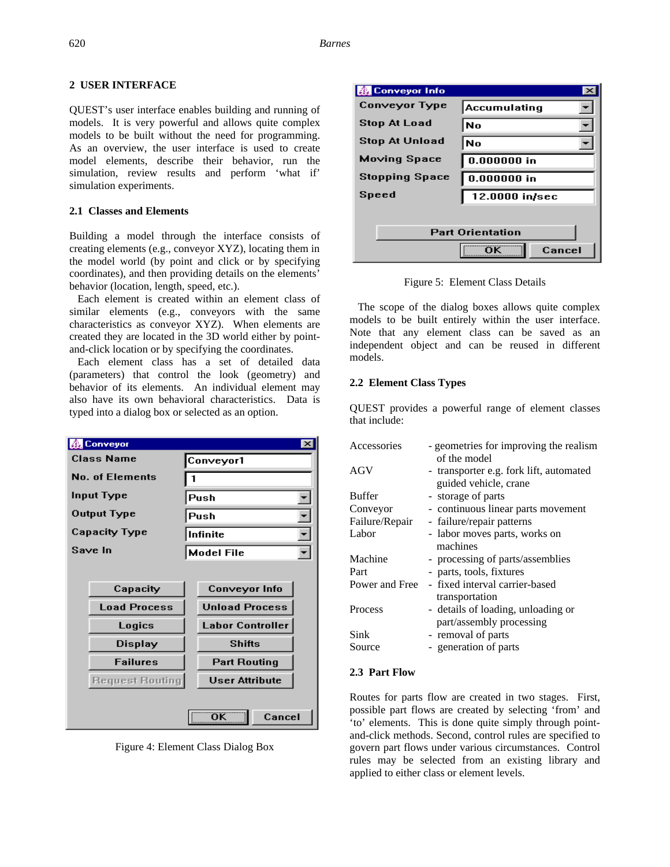# **2 USER INTERFACE**

QUEST's user interface enables building and running of models. It is very powerful and allows quite complex models to be built without the need for programming. As an overview, the user interface is used to create model elements, describe their behavior, run the simulation, review results and perform 'what if' simulation experiments.

# **2.1 Classes and Elements**

Building a model through the interface consists of creating elements (e.g., conveyor XYZ), locating them in the model world (by point and click or by specifying coordinates), and then providing details on the elements' behavior (location, length, speed, etc.).

 Each element is created within an element class of similar elements (e.g., conveyors with the same characteristics as conveyor XYZ). When elements are created they are located in the 3D world either by pointand-click location or by specifying the coordinates.

 Each element class has a set of detailed data (parameters) that control the look (geometry) and behavior of its elements. An individual element may also have its own behavioral characteristics. Data is typed into a dialog box or selected as an option.

|                        | <b>Bonveyor</b>        |           | D.                      |  |
|------------------------|------------------------|-----------|-------------------------|--|
| <b>Class Name</b>      |                        | Conveyor1 |                         |  |
| <b>No. of Elements</b> |                        |           |                         |  |
| <b>Input Type</b>      |                        | Push      |                         |  |
| Output Type            |                        | Push      |                         |  |
| <b>Capacity Type</b>   |                        | Infinite  |                         |  |
|                        | Save In                |           | <b>Model File</b>       |  |
|                        |                        |           |                         |  |
|                        | Capacity               |           | Conveyor Info           |  |
|                        | <b>Load Process</b>    |           | <b>Unload Process</b>   |  |
|                        | Logics                 |           | <b>Labor Controller</b> |  |
|                        | <b>Display</b>         |           | <b>Shifts</b>           |  |
|                        | <b>Failures</b>        |           | <b>Part Routing</b>     |  |
|                        | <b>Request Routing</b> |           | <b>User Attribute</b>   |  |
|                        |                        |           |                         |  |
|                        |                        |           | ÖΚ<br>Cancel            |  |

Figure 4: Element Class Dialog Box

| 线 Conveyor Info         |                |  |
|-------------------------|----------------|--|
| Conveyor Type           | Accumulating   |  |
| <b>Stop At Load</b>     | No             |  |
| <b>Stop At Unload</b>   | No             |  |
| Moving Space            | $0.000000$ in  |  |
| <b>Stopping Space</b>   | $0.000000$ in  |  |
| Speed                   | 12.0000 in/sec |  |
|                         |                |  |
| <b>Part Orientation</b> |                |  |
|                         | Cancel         |  |

Figure 5: Element Class Details

 The scope of the dialog boxes allows quite complex models to be built entirely within the user interface. Note that any element class can be saved as an independent object and can be reused in different models.

## **2.2 Element Class Types**

QUEST provides a powerful range of element classes that include:

| Accessories    | - geometries for improving the realism<br>of the model           |
|----------------|------------------------------------------------------------------|
| AGV            | - transporter e.g. fork lift, automated<br>guided vehicle, crane |
| Buffer         | - storage of parts                                               |
| Conveyor       | - continuous linear parts movement                               |
| Failure/Repair | - failure/repair patterns                                        |
| Labor          | - labor moves parts, works on<br>machines                        |
| Machine        | - processing of parts/assemblies                                 |
| Part           | - parts, tools, fixtures                                         |
| Power and Free | - fixed interval carrier-based<br>transportation                 |
| Process        | - details of loading, unloading or                               |
|                | part/assembly processing                                         |
| Sink           | - removal of parts                                               |
| Source         | - generation of parts                                            |
|                |                                                                  |

## **2.3 Part Flow**

Routes for parts flow are created in two stages. First, possible part flows are created by selecting 'from' and 'to' elements. This is done quite simply through pointand-click methods. Second, control rules are specified to govern part flows under various circumstances. Control rules may be selected from an existing library and applied to either class or element levels.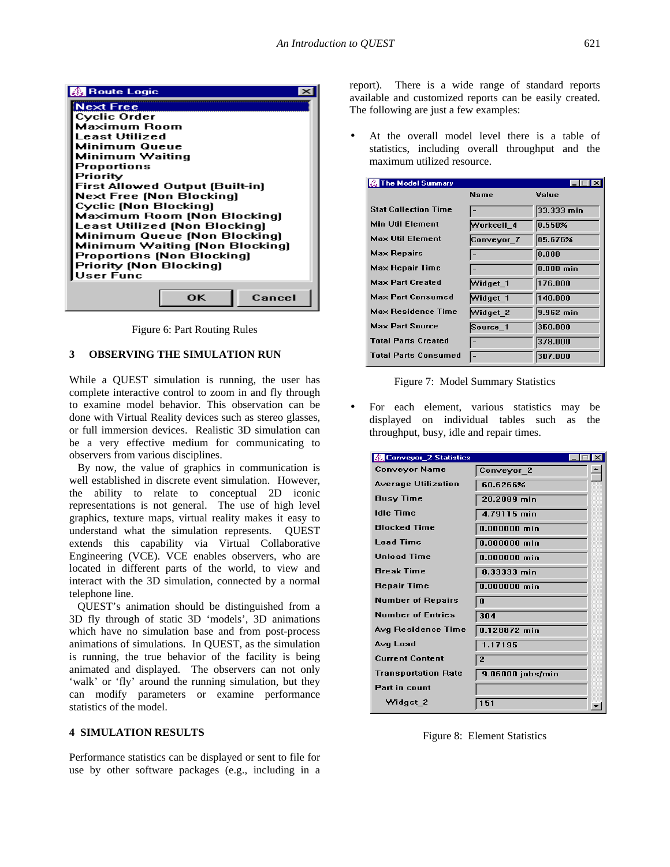

Figure 6: Part Routing Rules

### **3 OBSERVING THE SIMULATION RUN**

While a QUEST simulation is running, the user has complete interactive control to zoom in and fly through to examine model behavior. This observation can be done with Virtual Reality devices such as stereo glasses, or full immersion devices. Realistic 3D simulation can be a very effective medium for communicating to observers from various disciplines.

 By now, the value of graphics in communication is well established in discrete event simulation. However, the ability to relate to conceptual 2D iconic representations is not general. The use of high level graphics, texture maps, virtual reality makes it easy to understand what the simulation represents. QUEST extends this capability via Virtual Collaborative Engineering (VCE). VCE enables observers, who are located in different parts of the world, to view and interact with the 3D simulation, connected by a normal telephone line.

 QUEST's animation should be distinguished from a 3D fly through of static 3D 'models', 3D animations which have no simulation base and from post-process animations of simulations. In QUEST, as the simulation is running, the true behavior of the facility is being animated and displayed. The observers can not only 'walk' or 'fly' around the running simulation, but they can modify parameters or examine performance statistics of the model.

# **4 SIMULATION RESULTS**

Performance statistics can be displayed or sent to file for use by other software packages (e.g., including in a report). There is a wide range of standard reports available and customized reports can be easily created. The following are just a few examples:

At the overall model level there is a table of statistics, including overall throughput and the maximum utilized resource.

| 图 The Model Summary         |             | e i ci       |
|-----------------------------|-------------|--------------|
|                             | <b>Name</b> | Value        |
| <b>Stat Collection Time</b> |             | 33.333 min   |
| <b>Min Util Element</b>     | Workcell 4  | 0.550%       |
| <b>Max Util Element</b>     | Conveyor_7  | 85.676%      |
| <b>Max Repairs</b>          |             | 0.000        |
| Max Repair Time             |             | $ 0.000$ min |
| <b>Max Part Created</b>     | Widget_1    | 176.000      |
| <b>Max Part Consumed</b>    | Widget 1    | 140.000      |
| <b>Max Residence Time</b>   | Widget 2    | 9.962 min    |
| <b>Max Part Source</b>      | Source 1    | 350.000      |
| <b>Total Parts Created</b>  |             | 378.000      |
| <b>Total Parts Consumed</b> |             | 307.000      |



• For each element, various statistics may be displayed on individual tables such as the throughput, busy, idle and repair times.

| <b>线 Conveyor_2 Statistics</b> |                  |  |
|--------------------------------|------------------|--|
| Conveyor Name                  | Conveyor 2       |  |
| <b>Average Utilization</b>     | 60.6266%         |  |
| Busy Time                      | 20.2089 min      |  |
| <b>Idle Time</b>               | 4.79115 min      |  |
| <b>Blocked Time</b>            | $0.000000$ min   |  |
| <b>Load Time</b>               | $0.000000$ min   |  |
| <b>Unload Time</b>             | $0.000000$ min   |  |
| <b>Break Time</b>              | 8.33333 min      |  |
| Repair Time                    | $0.000000$ min   |  |
| <b>Number of Repairs</b>       | n                |  |
| <b>Number of Entries</b>       | 304              |  |
| Avg Residence Time             | 0.128872 min     |  |
| Avg Load                       | 1.17195          |  |
| <b>Current Content</b>         | $\overline{2}$   |  |
| <b>Transportation Rate</b>     | 9.06000 jobs/min |  |
| <b>Part in count</b>           |                  |  |
| Widget 2                       | 151              |  |

Figure 8: Element Statistics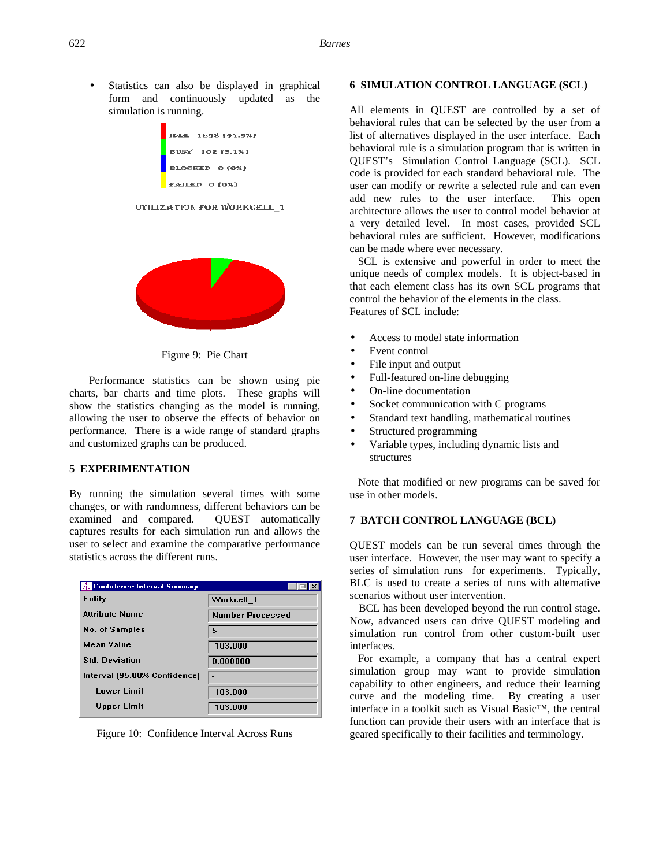Statistics can also be displayed in graphical form and continuously updated as the simulation is running.

| IDLE 1898 (94.9%)     |
|-----------------------|
| BUSY 102 (5.1%)       |
| <b>BLOCKED 0 (0%)</b> |
| FAILED 0 (0%)         |

#### UTILIZATION FOR WORKCELL 1



Figure 9: Pie Chart

Performance statistics can be shown using pie charts, bar charts and time plots. These graphs will show the statistics changing as the model is running, allowing the user to observe the effects of behavior on performance. There is a wide range of standard graphs and customized graphs can be produced.

# **5 EXPERIMENTATION**

By running the simulation several times with some changes, or with randomness, different behaviors can be examined and compared. QUEST automatically captures results for each simulation run and allows the user to select and examine the comparative performance statistics across the different runs.

| 图 Confidence Interval Summary |                         |
|-------------------------------|-------------------------|
| Entity                        | Workcell 1              |
| <b>Attribute Name</b>         | <b>Number Processed</b> |
| No. of Samples                | 5                       |
| <b>Mean Value</b>             | 103.000                 |
| <b>Std. Deviation</b>         | 0.000000                |
| Interval (95.00% Confidence)  |                         |
| <b>Lower Limit</b>            | 103.000                 |
| <b>Upper Limit</b>            | 103.000                 |

Figure 10: Confidence Interval Across Runs

### **6 SIMULATION CONTROL LANGUAGE (SCL)**

All elements in QUEST are controlled by a set of behavioral rules that can be selected by the user from a list of alternatives displayed in the user interface. Each behavioral rule is a simulation program that is written in QUEST's Simulation Control Language (SCL). SCL code is provided for each standard behavioral rule. The user can modify or rewrite a selected rule and can even add new rules to the user interface. This open architecture allows the user to control model behavior at a very detailed level. In most cases, provided SCL behavioral rules are sufficient. However, modifications can be made where ever necessary.

 SCL is extensive and powerful in order to meet the unique needs of complex models. It is object-based in that each element class has its own SCL programs that control the behavior of the elements in the class. Features of SCL include:

- Access to model state information
- Event control
- File input and output
- Full-featured on-line debugging
- On-line documentation
- Socket communication with C programs
- Standard text handling, mathematical routines
- Structured programming
- Variable types, including dynamic lists and structures

 Note that modified or new programs can be saved for use in other models.

### **7 BATCH CONTROL LANGUAGE (BCL)**

QUEST models can be run several times through the user interface. However, the user may want to specify a series of simulation runs for experiments. Typically, BLC is used to create a series of runs with alternative scenarios without user intervention.

 BCL has been developed beyond the run control stage. Now, advanced users can drive QUEST modeling and simulation run control from other custom-built user interfaces.

 For example, a company that has a central expert simulation group may want to provide simulation capability to other engineers, and reduce their learning curve and the modeling time. By creating a user interface in a toolkit such as Visual Basic™, the central function can provide their users with an interface that is geared specifically to their facilities and terminology.